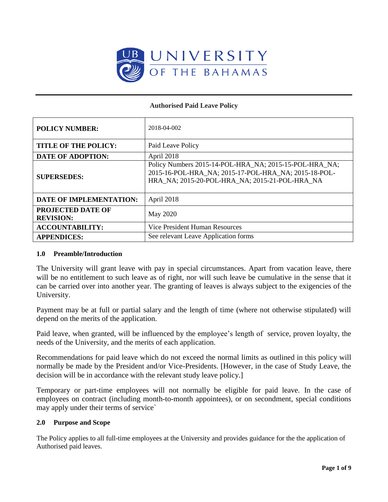

#### **Authorised Paid Leave Policy**

| <b>POLICY NUMBER:</b>                        | 2018-04-002                                                                                                                                                      |  |
|----------------------------------------------|------------------------------------------------------------------------------------------------------------------------------------------------------------------|--|
| <b>TITLE OF THE POLICY:</b>                  | Paid Leave Policy                                                                                                                                                |  |
| <b>DATE OF ADOPTION:</b>                     | April 2018                                                                                                                                                       |  |
| <b>SUPERSEDES:</b>                           | Policy Numbers 2015-14-POL-HRA_NA; 2015-15-POL-HRA_NA;<br>2015-16-POL-HRA NA; 2015-17-POL-HRA NA; 2015-18-POL-<br>HRA_NA; 2015-20-POL-HRA_NA; 2015-21-POL-HRA_NA |  |
| <b>DATE OF IMPLEMENTATION:</b>               | April 2018                                                                                                                                                       |  |
| <b>PROJECTED DATE OF</b><br><b>REVISION:</b> | May 2020                                                                                                                                                         |  |
| <b>ACCOUNTABILITY:</b>                       | Vice President Human Resources                                                                                                                                   |  |
| <b>APPENDICES:</b>                           | See relevant Leave Application forms                                                                                                                             |  |

#### **1.0 Preamble/Introduction**

The University will grant leave with pay in special circumstances. Apart from vacation leave, there will be no entitlement to such leave as of right, nor will such leave be cumulative in the sense that it can be carried over into another year. The granting of leaves is always subject to the exigencies of the University.

Payment may be at full or partial salary and the length of time (where not otherwise stipulated) will depend on the merits of the application.

Paid leave, when granted, will be influenced by the employee's length of service, proven loyalty, the needs of the University, and the merits of each application.

Recommendations for paid leave which do not exceed the normal limits as outlined in this policy will normally be made by the President and/or Vice-Presidents. [However, in the case of Study Leave, the decision will be in accordance with the relevant study leave policy.]

Temporary or part-time employees will not normally be eligible for paid leave. In the case of employees on contract (including month-to-month appointees), or on secondment, special conditions may apply under their terms of service`

#### **2.0 Purpose and Scope**

The Policy applies to all full-time employees at the University and provides guidance for the the application of Authorised paid leaves.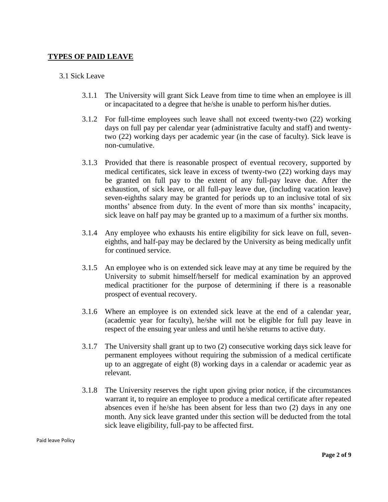# **TYPES OF PAID LEAVE**

### 3.1 Sick Leave

- 3.1.1 The University will grant Sick Leave from time to time when an employee is ill or incapacitated to a degree that he/she is unable to perform his/her duties.
- 3.1.2 For full-time employees such leave shall not exceed twenty-two (22) working days on full pay per calendar year (administrative faculty and staff) and twentytwo (22) working days per academic year (in the case of faculty). Sick leave is non-cumulative.
- 3.1.3 Provided that there is reasonable prospect of eventual recovery, supported by medical certificates, sick leave in excess of twenty-two (22) working days may be granted on full pay to the extent of any full-pay leave due. After the exhaustion, of sick leave, or all full-pay leave due, (including vacation leave) seven-eighths salary may be granted for periods up to an inclusive total of six months' absence from duty. In the event of more than six months' incapacity, sick leave on half pay may be granted up to a maximum of a further six months.
- 3.1.4 Any employee who exhausts his entire eligibility for sick leave on full, seveneighths, and half-pay may be declared by the University as being medically unfit for continued service.
- 3.1.5 An employee who is on extended sick leave may at any time be required by the University to submit himself/herself for medical examination by an approved medical practitioner for the purpose of determining if there is a reasonable prospect of eventual recovery.
- 3.1.6 Where an employee is on extended sick leave at the end of a calendar year, (academic year for faculty), he/she will not be eligible for full pay leave in respect of the ensuing year unless and until he/she returns to active duty.
- 3.1.7 The University shall grant up to two (2) consecutive working days sick leave for permanent employees without requiring the submission of a medical certificate up to an aggregate of eight (8) working days in a calendar or academic year as relevant.
- 3.1.8 The University reserves the right upon giving prior notice, if the circumstances warrant it, to require an employee to produce a medical certificate after repeated absences even if he/she has been absent for less than two (2) days in any one month. Any sick leave granted under this section will be deducted from the total sick leave eligibility, full-pay to be affected first.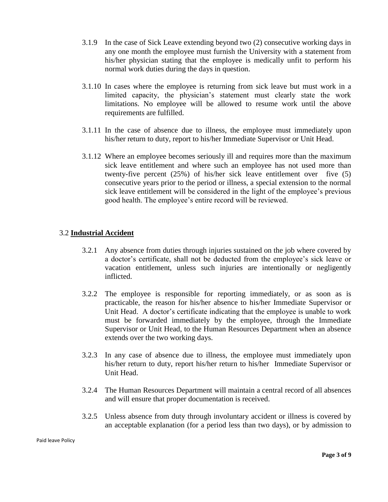- 3.1.9 In the case of Sick Leave extending beyond two (2) consecutive working days in any one month the employee must furnish the University with a statement from his/her physician stating that the employee is medically unfit to perform his normal work duties during the days in question.
- 3.1.10 In cases where the employee is returning from sick leave but must work in a limited capacity, the physician's statement must clearly state the work limitations. No employee will be allowed to resume work until the above requirements are fulfilled.
- 3.1.11 In the case of absence due to illness, the employee must immediately upon his/her return to duty, report to his/her Immediate Supervisor or Unit Head.
- 3.1.12 Where an employee becomes seriously ill and requires more than the maximum sick leave entitlement and where such an employee has not used more than twenty-five percent (25%) of his/her sick leave entitlement over five (5) consecutive years prior to the period or illness, a special extension to the normal sick leave entitlement will be considered in the light of the employee's previous good health. The employee's entire record will be reviewed.

# 3.2 **Industrial Accident**

- 3.2.1 Any absence from duties through injuries sustained on the job where covered by a doctor's certificate, shall not be deducted from the employee's sick leave or vacation entitlement, unless such injuries are intentionally or negligently inflicted.
- 3.2.2 The employee is responsible for reporting immediately, or as soon as is practicable, the reason for his/her absence to his/her Immediate Supervisor or Unit Head. A doctor's certificate indicating that the employee is unable to work must be forwarded immediately by the employee, through the Immediate Supervisor or Unit Head, to the Human Resources Department when an absence extends over the two working days.
- 3.2.3 In any case of absence due to illness, the employee must immediately upon his/her return to duty, report his/her return to his/her Immediate Supervisor or Unit Head.
- 3.2.4 The Human Resources Department will maintain a central record of all absences and will ensure that proper documentation is received.
- 3.2.5 Unless absence from duty through involuntary accident or illness is covered by an acceptable explanation (for a period less than two days), or by admission to

Paid leave Policy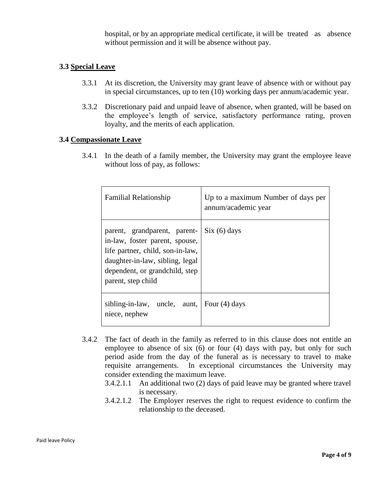hospital, or by an appropriate medical certificate, it will be treated as absence without permission and it will be absence without pay.

# **3.3 Special Leave**

- 3.3.1 At its discretion, the University may grant leave of absence with or without pay in special circumstances, up to ten (10) working days per annum/academic year.
- 3.3.2 Discretionary paid and unpaid leave of absence, when granted, will be based on the employee's length of service, satisfactory performance rating, proven loyalty, and the merits of each application.

# **3.4 Compassionate Leave**

3.4.1 In the death of a family member, the University may grant the employee leave without loss of pay, as follows:

| <b>Familial Relationship</b>                                                                                                                                                                  | Up to a maximum Number of days per<br>annum/academic year |
|-----------------------------------------------------------------------------------------------------------------------------------------------------------------------------------------------|-----------------------------------------------------------|
| parent, grandparent, parent-<br>in-law, foster parent, spouse,<br>life partner, child, son-in-law,<br>daughter-in-law, sibling, legal<br>dependent, or grandchild, step<br>parent, step child | Six (6) days                                              |
| sibling-in-law, uncle, aunt, $\vert$ Four (4) days<br>niece, nephew                                                                                                                           |                                                           |

- 3.4.2 The fact of death in the family as referred to in this clause does not entitle an employee to absence of six (6) or four (4) days with pay, but only for such period aside from the day of the funeral as is necessary to travel to make requisite arrangements. In exceptional circumstances the University may consider extending the maximum leave.
	- 3.4.2.1.1 An additional two (2) days of paid leave may be granted where travel is necessary.
	- 3.4.2.1.2 The Employer reserves the right to request evidence to confirm the relationship to the deceased.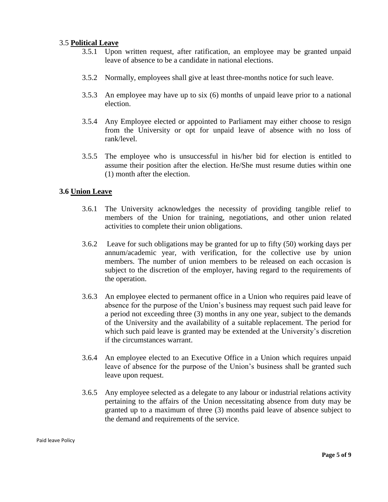### 3.5 **Political Leave**

- 3.5.1 Upon written request, after ratification, an employee may be granted unpaid leave of absence to be a candidate in national elections.
- 3.5.2 Normally, employees shall give at least three-months notice for such leave.
- 3.5.3 An employee may have up to six (6) months of unpaid leave prior to a national election.
- 3.5.4 Any Employee elected or appointed to Parliament may either choose to resign from the University or opt for unpaid leave of absence with no loss of rank/level.
- 3.5.5 The employee who is unsuccessful in his/her bid for election is entitled to assume their position after the election. He/She must resume duties within one (1) month after the election.

# **3.6 Union Leave**

- 3.6.1 The University acknowledges the necessity of providing tangible relief to members of the Union for training, negotiations, and other union related activities to complete their union obligations.
- 3.6.2 Leave for such obligations may be granted for up to fifty (50) working days per annum/academic year, with verification, for the collective use by union members. The number of union members to be released on each occasion is subject to the discretion of the employer, having regard to the requirements of the operation.
- 3.6.3 An employee elected to permanent office in a Union who requires paid leave of absence for the purpose of the Union's business may request such paid leave for a period not exceeding three (3) months in any one year, subject to the demands of the University and the availability of a suitable replacement. The period for which such paid leave is granted may be extended at the University's discretion if the circumstances warrant.
- 3.6.4 An employee elected to an Executive Office in a Union which requires unpaid leave of absence for the purpose of the Union's business shall be granted such leave upon request.
- 3.6.5 Any employee selected as a delegate to any labour or industrial relations activity pertaining to the affairs of the Union necessitating absence from duty may be granted up to a maximum of three (3) months paid leave of absence subject to the demand and requirements of the service.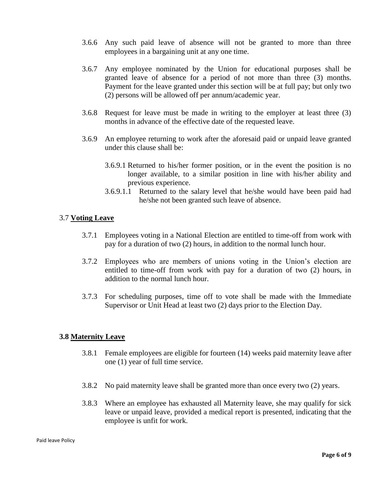- 3.6.6 Any such paid leave of absence will not be granted to more than three employees in a bargaining unit at any one time.
- 3.6.7 Any employee nominated by the Union for educational purposes shall be granted leave of absence for a period of not more than three (3) months. Payment for the leave granted under this section will be at full pay; but only two (2) persons will be allowed off per annum/academic year.
- 3.6.8 Request for leave must be made in writing to the employer at least three (3) months in advance of the effective date of the requested leave.
- 3.6.9 An employee returning to work after the aforesaid paid or unpaid leave granted under this clause shall be:
	- 3.6.9.1 Returned to his/her former position, or in the event the position is no longer available, to a similar position in line with his/her ability and previous experience.
	- 3.6.9.1.1 Returned to the salary level that he/she would have been paid had he/she not been granted such leave of absence.

# 3.7 **Voting Leave**

- 3.7.1 Employees voting in a National Election are entitled to time-off from work with pay for a duration of two (2) hours, in addition to the normal lunch hour.
- 3.7.2 Employees who are members of unions voting in the Union's election are entitled to time-off from work with pay for a duration of two (2) hours, in addition to the normal lunch hour.
- 3.7.3 For scheduling purposes, time off to vote shall be made with the Immediate Supervisor or Unit Head at least two (2) days prior to the Election Day.

# **3.8 Maternity Leave**

- 3.8.1 Female employees are eligible for fourteen (14) weeks paid maternity leave after one (1) year of full time service.
- 3.8.2 No paid maternity leave shall be granted more than once every two (2) years.
- 3.8.3 Where an employee has exhausted all Maternity leave, she may qualify for sick leave or unpaid leave, provided a medical report is presented, indicating that the employee is unfit for work.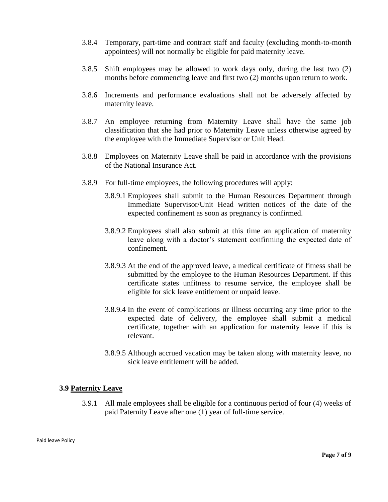- 3.8.4 Temporary, part-time and contract staff and faculty (excluding month-to-month appointees) will not normally be eligible for paid maternity leave.
- 3.8.5 Shift employees may be allowed to work days only, during the last two (2) months before commencing leave and first two (2) months upon return to work.
- 3.8.6 Increments and performance evaluations shall not be adversely affected by maternity leave.
- 3.8.7 An employee returning from Maternity Leave shall have the same job classification that she had prior to Maternity Leave unless otherwise agreed by the employee with the Immediate Supervisor or Unit Head.
- 3.8.8 Employees on Maternity Leave shall be paid in accordance with the provisions of the National Insurance Act.
- 3.8.9 For full-time employees, the following procedures will apply:
	- 3.8.9.1 Employees shall submit to the Human Resources Department through Immediate Supervisor/Unit Head written notices of the date of the expected confinement as soon as pregnancy is confirmed.
	- 3.8.9.2 Employees shall also submit at this time an application of maternity leave along with a doctor's statement confirming the expected date of confinement.
	- 3.8.9.3 At the end of the approved leave, a medical certificate of fitness shall be submitted by the employee to the Human Resources Department. If this certificate states unfitness to resume service, the employee shall be eligible for sick leave entitlement or unpaid leave.
	- 3.8.9.4 In the event of complications or illness occurring any time prior to the expected date of delivery, the employee shall submit a medical certificate, together with an application for maternity leave if this is relevant.
	- 3.8.9.5 Although accrued vacation may be taken along with maternity leave, no sick leave entitlement will be added.

# **3.9 Paternity Leave**

3.9.1 All male employees shall be eligible for a continuous period of four (4) weeks of paid Paternity Leave after one (1) year of full-time service.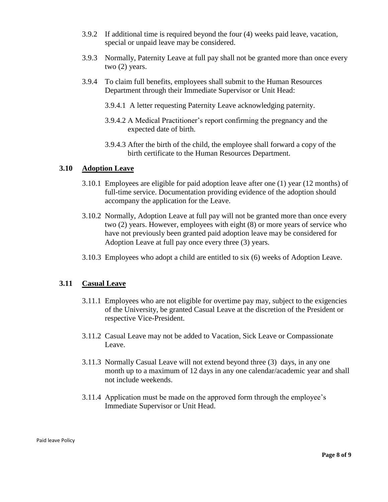- 3.9.2 If additional time is required beyond the four (4) weeks paid leave, vacation, special or unpaid leave may be considered.
- 3.9.3 Normally, Paternity Leave at full pay shall not be granted more than once every two (2) years.
- 3.9.4 To claim full benefits, employees shall submit to the Human Resources Department through their Immediate Supervisor or Unit Head:
	- 3.9.4.1 A letter requesting Paternity Leave acknowledging paternity.
	- 3.9.4.2 A Medical Practitioner's report confirming the pregnancy and the expected date of birth.
	- 3.9.4.3 After the birth of the child, the employee shall forward a copy of the birth certificate to the Human Resources Department.

# **3.10 Adoption Leave**

- 3.10.1 Employees are eligible for paid adoption leave after one (1) year (12 months) of full-time service. Documentation providing evidence of the adoption should accompany the application for the Leave.
- 3.10.2 Normally, Adoption Leave at full pay will not be granted more than once every two (2) years. However, employees with eight (8) or more years of service who have not previously been granted paid adoption leave may be considered for Adoption Leave at full pay once every three (3) years.
- 3.10.3 Employees who adopt a child are entitled to six (6) weeks of Adoption Leave.

# **3.11 Casual Leave**

- 3.11.1 Employees who are not eligible for overtime pay may, subject to the exigencies of the University, be granted Casual Leave at the discretion of the President or respective Vice-President.
- 3.11.2 Casual Leave may not be added to Vacation, Sick Leave or Compassionate Leave.
- 3.11.3 Normally Casual Leave will not extend beyond three (3) days, in any one month up to a maximum of 12 days in any one calendar/academic year and shall not include weekends.
- 3.11.4 Application must be made on the approved form through the employee's Immediate Supervisor or Unit Head.